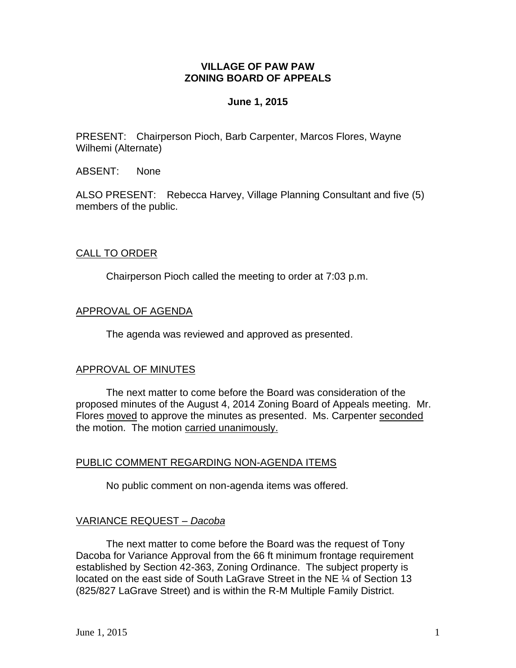# **VILLAGE OF PAW PAW ZONING BOARD OF APPEALS**

### **June 1, 2015**

PRESENT: Chairperson Pioch, Barb Carpenter, Marcos Flores, Wayne Wilhemi (Alternate)

ABSENT: None

ALSO PRESENT: Rebecca Harvey, Village Planning Consultant and five (5) members of the public.

# CALL TO ORDER

Chairperson Pioch called the meeting to order at 7:03 p.m.

### APPROVAL OF AGENDA

The agenda was reviewed and approved as presented.

#### APPROVAL OF MINUTES

The next matter to come before the Board was consideration of the proposed minutes of the August 4, 2014 Zoning Board of Appeals meeting. Mr. Flores moved to approve the minutes as presented. Ms. Carpenter seconded the motion. The motion carried unanimously.

# PUBLIC COMMENT REGARDING NON-AGENDA ITEMS

No public comment on non-agenda items was offered.

# VARIANCE REQUEST *– Dacoba*

The next matter to come before the Board was the request of Tony Dacoba for Variance Approval from the 66 ft minimum frontage requirement established by Section 42-363, Zoning Ordinance. The subject property is located on the east side of South LaGrave Street in the NE 1/4 of Section 13 (825/827 LaGrave Street) and is within the R-M Multiple Family District.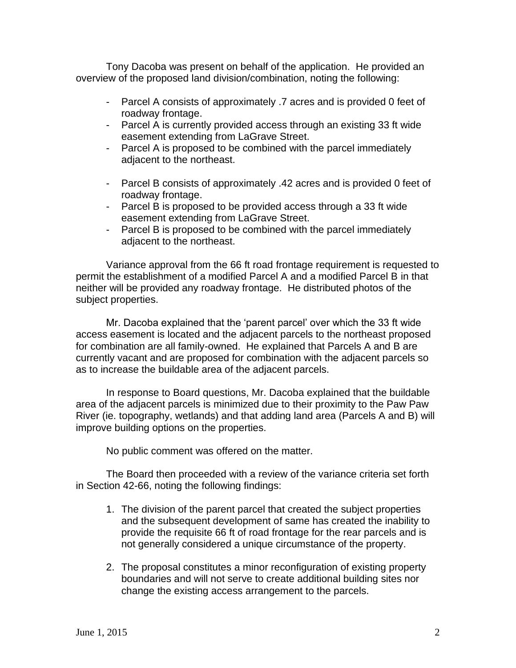Tony Dacoba was present on behalf of the application. He provided an overview of the proposed land division/combination, noting the following:

- Parcel A consists of approximately .7 acres and is provided 0 feet of roadway frontage.
- Parcel A is currently provided access through an existing 33 ft wide easement extending from LaGrave Street.
- Parcel A is proposed to be combined with the parcel immediately adjacent to the northeast.
- Parcel B consists of approximately .42 acres and is provided 0 feet of roadway frontage.
- Parcel B is proposed to be provided access through a 33 ft wide easement extending from LaGrave Street.
- Parcel B is proposed to be combined with the parcel immediately adjacent to the northeast.

Variance approval from the 66 ft road frontage requirement is requested to permit the establishment of a modified Parcel A and a modified Parcel B in that neither will be provided any roadway frontage. He distributed photos of the subject properties.

Mr. Dacoba explained that the 'parent parcel' over which the 33 ft wide access easement is located and the adjacent parcels to the northeast proposed for combination are all family-owned. He explained that Parcels A and B are currently vacant and are proposed for combination with the adjacent parcels so as to increase the buildable area of the adjacent parcels.

In response to Board questions, Mr. Dacoba explained that the buildable area of the adjacent parcels is minimized due to their proximity to the Paw Paw River (ie. topography, wetlands) and that adding land area (Parcels A and B) will improve building options on the properties.

No public comment was offered on the matter.

The Board then proceeded with a review of the variance criteria set forth in Section 42-66, noting the following findings:

- 1. The division of the parent parcel that created the subject properties and the subsequent development of same has created the inability to provide the requisite 66 ft of road frontage for the rear parcels and is not generally considered a unique circumstance of the property.
- 2. The proposal constitutes a minor reconfiguration of existing property boundaries and will not serve to create additional building sites nor change the existing access arrangement to the parcels.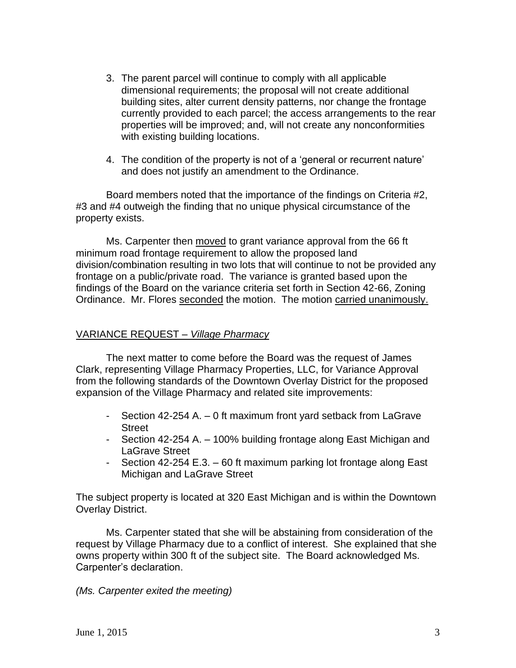- 3. The parent parcel will continue to comply with all applicable dimensional requirements; the proposal will not create additional building sites, alter current density patterns, nor change the frontage currently provided to each parcel; the access arrangements to the rear properties will be improved; and, will not create any nonconformities with existing building locations.
- 4. The condition of the property is not of a 'general or recurrent nature' and does not justify an amendment to the Ordinance.

Board members noted that the importance of the findings on Criteria #2, #3 and #4 outweigh the finding that no unique physical circumstance of the property exists.

Ms. Carpenter then moved to grant variance approval from the 66 ft minimum road frontage requirement to allow the proposed land division/combination resulting in two lots that will continue to not be provided any frontage on a public/private road. The variance is granted based upon the findings of the Board on the variance criteria set forth in Section 42-66, Zoning Ordinance. Mr. Flores seconded the motion. The motion carried unanimously.

# VARIANCE REQUEST *– Village Pharmacy*

The next matter to come before the Board was the request of James Clark, representing Village Pharmacy Properties, LLC, for Variance Approval from the following standards of the Downtown Overlay District for the proposed expansion of the Village Pharmacy and related site improvements:

- Section 42-254 A. 0 ft maximum front yard setback from LaGrave Street
- Section 42-254 A. 100% building frontage along East Michigan and LaGrave Street
- Section 42-254 E.3. 60 ft maximum parking lot frontage along East Michigan and LaGrave Street

The subject property is located at 320 East Michigan and is within the Downtown Overlay District.

Ms. Carpenter stated that she will be abstaining from consideration of the request by Village Pharmacy due to a conflict of interest. She explained that she owns property within 300 ft of the subject site. The Board acknowledged Ms. Carpenter's declaration.

*(Ms. Carpenter exited the meeting)*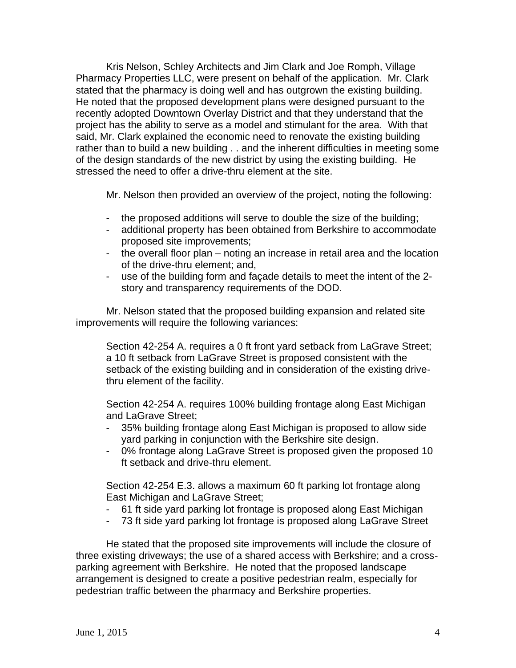Kris Nelson, Schley Architects and Jim Clark and Joe Romph, Village Pharmacy Properties LLC, were present on behalf of the application. Mr. Clark stated that the pharmacy is doing well and has outgrown the existing building. He noted that the proposed development plans were designed pursuant to the recently adopted Downtown Overlay District and that they understand that the project has the ability to serve as a model and stimulant for the area. With that said, Mr. Clark explained the economic need to renovate the existing building rather than to build a new building . . and the inherent difficulties in meeting some of the design standards of the new district by using the existing building. He stressed the need to offer a drive-thru element at the site.

Mr. Nelson then provided an overview of the project, noting the following:

- the proposed additions will serve to double the size of the building;
- additional property has been obtained from Berkshire to accommodate proposed site improvements;
- the overall floor plan noting an increase in retail area and the location of the drive-thru element; and,
- use of the building form and façade details to meet the intent of the 2 story and transparency requirements of the DOD.

Mr. Nelson stated that the proposed building expansion and related site improvements will require the following variances:

Section 42-254 A. requires a 0 ft front yard setback from LaGrave Street; a 10 ft setback from LaGrave Street is proposed consistent with the setback of the existing building and in consideration of the existing drivethru element of the facility.

Section 42-254 A. requires 100% building frontage along East Michigan and LaGrave Street;

- 35% building frontage along East Michigan is proposed to allow side yard parking in conjunction with the Berkshire site design.
- 0% frontage along LaGrave Street is proposed given the proposed 10 ft setback and drive-thru element.

Section 42-254 E.3. allows a maximum 60 ft parking lot frontage along East Michigan and LaGrave Street;

- 61 ft side yard parking lot frontage is proposed along East Michigan
- 73 ft side yard parking lot frontage is proposed along LaGrave Street

He stated that the proposed site improvements will include the closure of three existing driveways; the use of a shared access with Berkshire; and a crossparking agreement with Berkshire. He noted that the proposed landscape arrangement is designed to create a positive pedestrian realm, especially for pedestrian traffic between the pharmacy and Berkshire properties.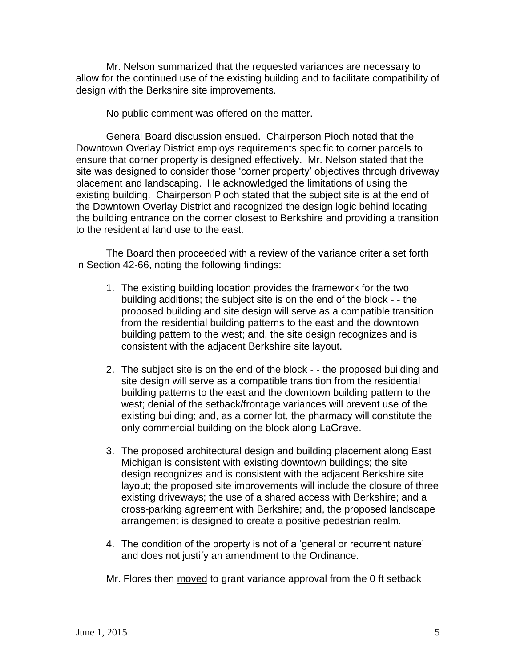Mr. Nelson summarized that the requested variances are necessary to allow for the continued use of the existing building and to facilitate compatibility of design with the Berkshire site improvements.

No public comment was offered on the matter.

General Board discussion ensued. Chairperson Pioch noted that the Downtown Overlay District employs requirements specific to corner parcels to ensure that corner property is designed effectively. Mr. Nelson stated that the site was designed to consider those 'corner property' objectives through driveway placement and landscaping. He acknowledged the limitations of using the existing building. Chairperson Pioch stated that the subject site is at the end of the Downtown Overlay District and recognized the design logic behind locating the building entrance on the corner closest to Berkshire and providing a transition to the residential land use to the east.

The Board then proceeded with a review of the variance criteria set forth in Section 42-66, noting the following findings:

- 1. The existing building location provides the framework for the two building additions; the subject site is on the end of the block - - the proposed building and site design will serve as a compatible transition from the residential building patterns to the east and the downtown building pattern to the west; and, the site design recognizes and is consistent with the adjacent Berkshire site layout.
- 2. The subject site is on the end of the block - the proposed building and site design will serve as a compatible transition from the residential building patterns to the east and the downtown building pattern to the west; denial of the setback/frontage variances will prevent use of the existing building; and, as a corner lot, the pharmacy will constitute the only commercial building on the block along LaGrave.
- 3. The proposed architectural design and building placement along East Michigan is consistent with existing downtown buildings; the site design recognizes and is consistent with the adjacent Berkshire site layout; the proposed site improvements will include the closure of three existing driveways; the use of a shared access with Berkshire; and a cross-parking agreement with Berkshire; and, the proposed landscape arrangement is designed to create a positive pedestrian realm.
- 4. The condition of the property is not of a 'general or recurrent nature' and does not justify an amendment to the Ordinance.

Mr. Flores then moved to grant variance approval from the 0 ft setback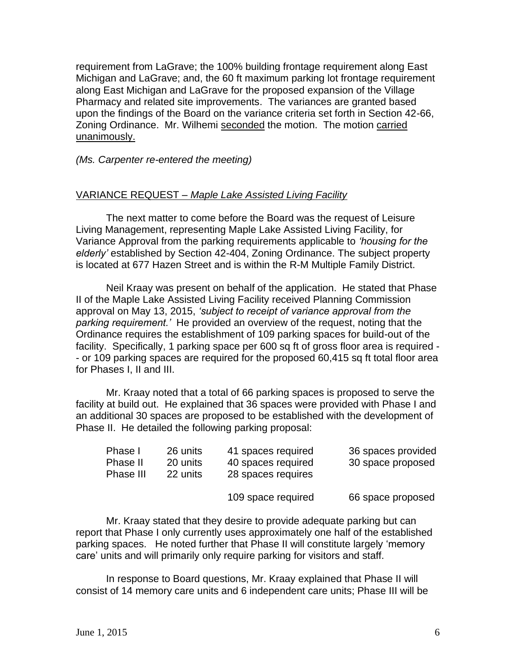requirement from LaGrave; the 100% building frontage requirement along East Michigan and LaGrave; and, the 60 ft maximum parking lot frontage requirement along East Michigan and LaGrave for the proposed expansion of the Village Pharmacy and related site improvements. The variances are granted based upon the findings of the Board on the variance criteria set forth in Section 42-66, Zoning Ordinance. Mr. Wilhemi seconded the motion. The motion carried unanimously.

*(Ms. Carpenter re-entered the meeting)*

### VARIANCE REQUEST *– Maple Lake Assisted Living Facility*

The next matter to come before the Board was the request of Leisure Living Management, representing Maple Lake Assisted Living Facility, for Variance Approval from the parking requirements applicable to *'housing for the elderly'* established by Section 42-404, Zoning Ordinance. The subject property is located at 677 Hazen Street and is within the R-M Multiple Family District.

Neil Kraay was present on behalf of the application. He stated that Phase II of the Maple Lake Assisted Living Facility received Planning Commission approval on May 13, 2015, *'subject to receipt of variance approval from the parking requirement.'* He provided an overview of the request, noting that the Ordinance requires the establishment of 109 parking spaces for build-out of the facility. Specifically, 1 parking space per 600 sq ft of gross floor area is required - - or 109 parking spaces are required for the proposed 60,415 sq ft total floor area for Phases I, II and III.

Mr. Kraay noted that a total of 66 parking spaces is proposed to serve the facility at build out. He explained that 36 spaces were provided with Phase I and an additional 30 spaces are proposed to be established with the development of Phase II. He detailed the following parking proposal:

| Phase I<br>Phase II<br>Phase III | 26 units<br>20 units<br>22 units | 41 spaces required<br>40 spaces required<br>28 spaces requires | 36 spaces provided<br>30 space proposed |
|----------------------------------|----------------------------------|----------------------------------------------------------------|-----------------------------------------|
|                                  |                                  | 109 space required                                             | 66 space proposed                       |

Mr. Kraay stated that they desire to provide adequate parking but can report that Phase I only currently uses approximately one half of the established parking spaces. He noted further that Phase II will constitute largely 'memory care' units and will primarily only require parking for visitors and staff.

In response to Board questions, Mr. Kraay explained that Phase II will consist of 14 memory care units and 6 independent care units; Phase III will be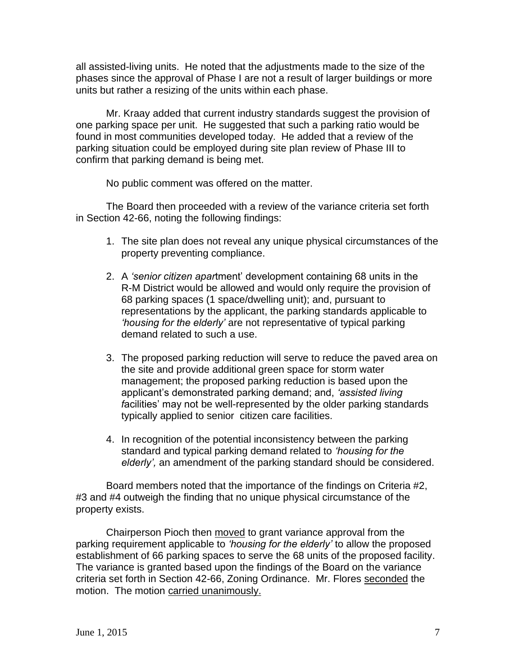all assisted-living units. He noted that the adjustments made to the size of the phases since the approval of Phase I are not a result of larger buildings or more units but rather a resizing of the units within each phase.

Mr. Kraay added that current industry standards suggest the provision of one parking space per unit. He suggested that such a parking ratio would be found in most communities developed today. He added that a review of the parking situation could be employed during site plan review of Phase III to confirm that parking demand is being met.

No public comment was offered on the matter.

The Board then proceeded with a review of the variance criteria set forth in Section 42-66, noting the following findings:

- 1. The site plan does not reveal any unique physical circumstances of the property preventing compliance.
- 2. A *'senior citizen apar*tment' development containing 68 units in the R-M District would be allowed and would only require the provision of 68 parking spaces (1 space/dwelling unit); and, pursuant to representations by the applicant, the parking standards applicable to *'housing for the elderly'* are not representative of typical parking demand related to such a use.
- 3. The proposed parking reduction will serve to reduce the paved area on the site and provide additional green space for storm water management; the proposed parking reduction is based upon the applicant's demonstrated parking demand; and, *'assisted living f*acilities' may not be well-represented by the older parking standards typically applied to senior citizen care facilities.
- 4. In recognition of the potential inconsistency between the parking standard and typical parking demand related to *'housing for the elderly',* an amendment of the parking standard should be considered.

Board members noted that the importance of the findings on Criteria #2, #3 and #4 outweigh the finding that no unique physical circumstance of the property exists.

Chairperson Pioch then moved to grant variance approval from the parking requirement applicable to *'housing for the elderly'* to allow the proposed establishment of 66 parking spaces to serve the 68 units of the proposed facility. The variance is granted based upon the findings of the Board on the variance criteria set forth in Section 42-66, Zoning Ordinance. Mr. Flores seconded the motion. The motion carried unanimously.